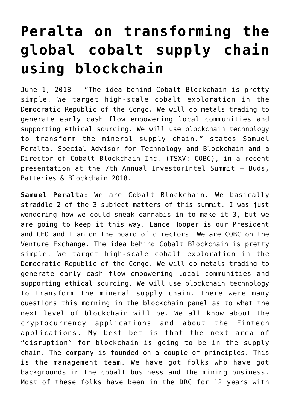## **[Peralta on transforming the](https://investorintel.com/investorintel-video/cobalt-blockchain/) [global cobalt supply chain](https://investorintel.com/investorintel-video/cobalt-blockchain/) [using blockchain](https://investorintel.com/investorintel-video/cobalt-blockchain/)**

June 1, 2018 – "The idea behind Cobalt Blockchain is pretty simple. We target high-scale cobalt exploration in the Democratic Republic of the Congo. We will do metals trading to generate early cash flow empowering local communities and supporting ethical sourcing. We will use blockchain technology to transform the mineral supply chain." states Samuel Peralta, Special Advisor for Technology and Blockchain and a Director of Cobalt Blockchain Inc. (TSXV: COBC), in a recent presentation at the 7th Annual InvestorIntel Summit – Buds, Batteries & Blockchain 2018.

**Samuel Peralta:** We are Cobalt Blockchain. We basically straddle 2 of the 3 subject matters of this summit. I was just wondering how we could sneak cannabis in to make it 3, but we are going to keep it this way. Lance Hooper is our President and CEO and I am on the board of directors. We are COBC on the Venture Exchange. The idea behind Cobalt Blockchain is pretty simple. We target high-scale cobalt exploration in the Democratic Republic of the Congo. We will do metals trading to generate early cash flow empowering local communities and supporting ethical sourcing. We will use blockchain technology to transform the mineral supply chain. There were many questions this morning in the blockchain panel as to what the next level of blockchain will be. We all know about the cryptocurrency applications and about the Fintech applications. My best bet is that the next area of "disruption" for blockchain is going to be in the supply chain. The company is founded on a couple of principles. This is the management team. We have got folks who have got backgrounds in the cobalt business and the mining business. Most of these folks have been in the DRC for 12 years with